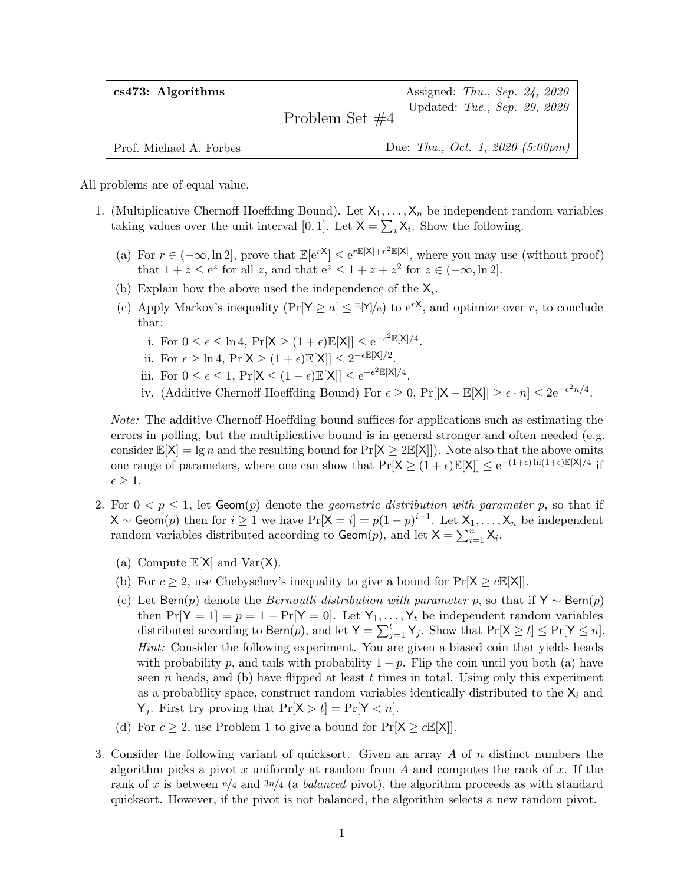| $cs473:$ Algorithms     | Assigned: Thu., Sep. 24, 2020                    |
|-------------------------|--------------------------------------------------|
|                         | Updated: Tue., Sep. 29, 2020<br>Problem Set $#4$ |
| Prof. Michael A. Forbes | Due: Thu., Oct. 1, 2020 $(5:00 \text{pm})$       |

All problems are of equal value.

- 1. (Multiplicative Chernoff-Hoeffding Bound). Let  $X_1, \ldots, X_n$  be independent random variables taking values over the unit interval [0, 1]. Let  $X = \sum_i X_i$ . Show the following.
	- (a) For  $r \in (-\infty, \ln 2]$ , prove that  $\mathbb{E}[e^{rX}] \leq e^{r\mathbb{E}[X]+r^2\mathbb{E}[X]}$ , where you may use (without proof) that  $1 + z \le e^z$  for all z, and that  $e^z \le 1 + z + z^2$  for  $z \in (-\infty, \ln 2]$ .
	- (b) Explain how the above used the independence of the  $X_i$ .
	- (c) Apply Markov's inequality  $(\Pr[Y \ge a] \le E[Y]/a)$  to  $e^{rX}$ , and optimize over r, to conclude that:
		- i. For  $0 \leq \epsilon \leq \ln 4$ ,  $Pr[X \geq (1 + \epsilon) \mathbb{E}[X]] \leq e^{-\epsilon^2 \mathbb{E}[X]/4}$ .
		- ii. For  $\epsilon \geq \ln 4$ ,  $\Pr[X \geq (1 + \epsilon) \mathbb{E}[X]] \leq 2^{-\epsilon \mathbb{E}[X]/2}$ .
		- iii. For  $0 \leq \epsilon \leq 1$ ,  $\Pr[X \leq (1 \epsilon)\mathbb{E}[X]] \leq e^{-\epsilon^2 \mathbb{E}[X]/4}$ .
		- iv. (Additive Chernoff-Hoeffding Bound) For  $\epsilon \geq 0$ , Pr $[|X \mathbb{E}[X]| \geq \epsilon \cdot n] \leq 2e^{-\epsilon^2 n/4}$ .

Note: The additive Chernoff-Hoeffding bound suffices for applications such as estimating the errors in polling, but the multiplicative bound is in general stronger and often needed (e.g. consider  $\mathbb{E}[X] = \lg n$  and the resulting bound for  $\Pr[X \geq 2\mathbb{E}[X]]$ . Note also that the above omits one range of parameters, where one can show that  $Pr[X \geq (1+\epsilon)\mathbb{E}[X]] \leq e^{-(1+\epsilon)\ln(1+\epsilon)\mathbb{E}[X]/4}$  if  $\epsilon \geq 1$ .

- 2. For  $0 < p \le 1$ , let  $Geom(p)$  denote the *geometric distribution with parameter* p, so that if  $\mathsf{X} \sim \mathsf{Geom}(p)$  then for  $i \geq 1$  we have  $\Pr[\mathsf{X} = i] = p(1-p)^{i-1}$ . Let  $\mathsf{X}_1, \ldots, \mathsf{X}_n$  be independent random variables distributed according to  $\mathsf{Geom}(p)$ , and let  $\mathsf{X} = \sum_{i=1}^{n} \mathsf{X}_i$ .
	- (a) Compute  $\mathbb{E}[X]$  and  $\text{Var}(X)$ .
	- (b) For  $c \geq 2$ , use Chebyschev's inequality to give a bound for  $Pr[X \geq cE[X]]$ .
	- (c) Let Bern(p) denote the *Bernoulli distribution with parameter* p, so that if  $Y \sim \text{Bern}(p)$ then  $Pr[Y = 1] = p = 1 - Pr[Y = 0]$ . Let  $Y_1, \ldots, Y_t$  be independent random variables distributed according to Bern $(p)$ , and let  $\mathsf{Y} = \sum_{j=1}^{t} \mathsf{Y}_j$ . Show that  $\Pr[\mathsf{X} \geq t] \leq \Pr[\mathsf{Y} \leq n]$ . Hint: Consider the following experiment. You are given a biased coin that yields heads with probability p, and tails with probability  $1 - p$ . Flip the coin until you both (a) have seen n heads, and (b) have flipped at least  $t$  times in total. Using only this experiment as a probability space, construct random variables identically distributed to the  $X_i$  and  $Y_j$ . First try proving that  $Pr[X > t] = Pr[Y < n]$ .
	- (d) For  $c \geq 2$ , use Problem 1 to give a bound for  $Pr[X \geq cE[X]]$ .
- 3. Consider the following variant of quicksort. Given an array  $A$  of  $n$  distinct numbers the algorithm picks a pivot x uniformly at random from A and computes the rank of x. If the rank of x is between  $n/4$  and  $3n/4$  (a *balanced* pivot), the algorithm proceeds as with standard quicksort. However, if the pivot is not balanced, the algorithm selects a new random pivot.